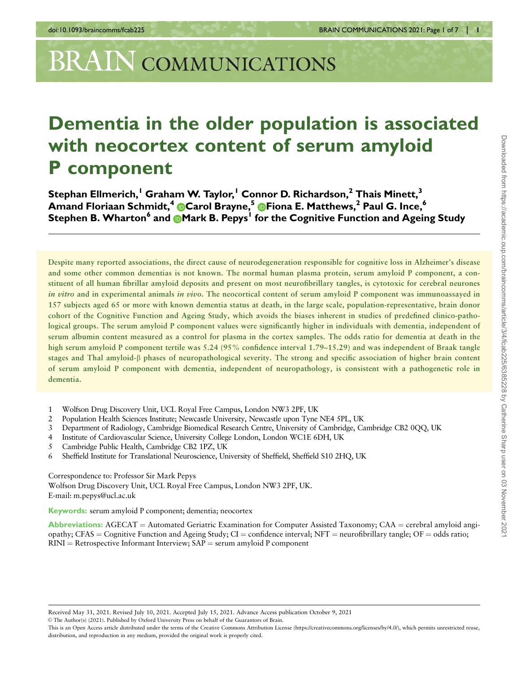# **BRAIN COMMUNICATIONS**

## Dementia in the older population is associated with neocortex content of serum amyloid P component

Stephan Ellmerich,<sup>1</sup> Graham W. Taylor,<sup>1</sup> Connor D. Richardson,<sup>2</sup> Thais Minett,<sup>3</sup> Amand [F](https://orcid.org/0000-0002-1728-2388)loriaan Schmidt,<sup>4</sup> Carol Brayne,<sup>5</sup> CFiona E. Matthews,<sup>2</sup> Paul G. Ince,<sup>6</sup> Stephen B. Wharton<sup>6</sup> and **[M](https://orcid.org/0000-0003-2614-3248)ark B. Pepys<sup>1</sup> for the Cognitive Function and Ageing Study** 

Despite many reported associations, the direct cause of neurodegeneration responsible for cognitive loss in Alzheimer's disease and some other common dementias is not known. The normal human plasma protein, serum amyloid P component, a constituent of all human fibrillar amyloid deposits and present on most neurofibrillary tangles, is cytotoxic for cerebral neurones in vitro and in experimental animals in vivo. The neocortical content of serum amyloid P component was immunoassayed in 157 subjects aged 65 or more with known dementia status at death, in the large scale, population-representative, brain donor cohort of the Cognitive Function and Ageing Study, which avoids the biases inherent in studies of predefined clinico-pathological groups. The serum amyloid P component values were significantly higher in individuals with dementia, independent of serum albumin content measured as a control for plasma in the cortex samples. The odds ratio for dementia at death in the high serum amyloid P component tertile was 5.24 (95% confidence interval 1.79–15.29) and was independent of Braak tangle stages and Thal amyloid-b phases of neuropathological severity. The strong and specific association of higher brain content of serum amyloid P component with dementia, independent of neuropathology, is consistent with a pathogenetic role in dementia.

- 1 Wolfson Drug Discovery Unit, UCL Royal Free Campus, London NW3 2PF, UK
- 2 Population Health Sciences Institute; Newcastle University, Newcastle upon Tyne NE4 5PL, UK
- 3 Department of Radiology, Cambridge Biomedical Research Centre, University of Cambridge, Cambridge CB2 0QQ, UK
- 4 Institute of Cardiovascular Science, University College London, London WC1E 6DH, UK
- 5 Cambridge Public Health, Cambridge CB2 1PZ, UK
- 6 Sheffield Institute for Translational Neuroscience, University of Sheffield, Sheffield S10 2HQ, UK

Correspondence to: Professor Sir Mark Pepys Wolfson Drug Discovery Unit, UCL Royal Free Campus, London NW3 2PF, UK. E-mail: m.pepys@ucl.ac.uk

Keywords: serum amyloid P component; dementia; neocortex

Abbreviations:  $AGECAT =$  Automated Geriatric Examination for Computer Assisted Taxonomy; CAA = cerebral amyloid angiopathy; CFAS = Cognitive Function and Ageing Study; CI = confidence interval; NFT = neurofibrillary tangle; OF = odds ratio;  $RINI = Retrospective Information Interview; SAP = serum amyloid P component$ 

Received May 31, 2021. Revised July 10, 2021. Accepted July 15, 2021. Advance Access publication October 9, 2021

V<sup>C</sup> The Author(s) (2021). Published by Oxford University Press on behalf of the Guarantors of Brain.

This is an Open Access article distributed under the terms of the Creative Commons Attribution License (https://creativecommons.org/licenses/by/4.0/), which permits unrestricted reuse, distribution, and reproduction in any medium, provided the original work is properly cited.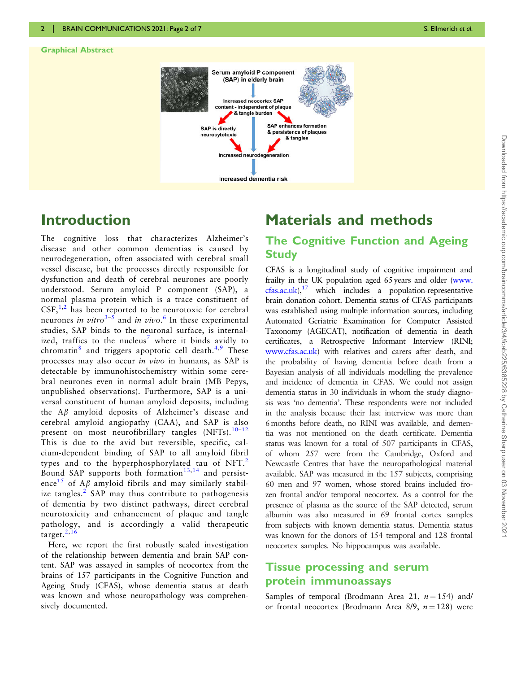#### <span id="page-1-0"></span>Graphical Abstract



## Introduction

The cognitive loss that characterizes Alzheimer's disease and other common dementias is caused by neurodegeneration, often associated with cerebral small vessel disease, but the processes directly responsible for dysfunction and death of cerebral neurones are poorly understood. Serum amyloid P component (SAP), a normal plasma protein which is a trace constituent of  $CSF<sub>1</sub><sup>1,2</sup>$  $CSF<sub>1</sub><sup>1,2</sup>$  $CSF<sub>1</sub><sup>1,2</sup>$  has been reported to be neurotoxic for cerebral neurones *in vitro*<sup>[3–5](#page-6-0)</sup> and *in vivo*.<sup>[6](#page-6-0)</sup> In these experimental studies, SAP binds to the neuronal surface, is internal-ized, traffics to the nucleus<sup>[7](#page-6-0)</sup> where it binds avidly to chromatin $\delta$  and triggers apoptotic cell death.<sup>[4,9](#page-6-0)</sup> These processes may also occur in vivo in humans, as SAP is detectable by immunohistochemistry within some cerebral neurones even in normal adult brain (MB Pepys, unpublished observations). Furthermore, SAP is a universal constituent of human amyloid deposits, including the  $A\beta$  amyloid deposits of Alzheimer's disease and cerebral amyloid angiopathy (CAA), and SAP is also present on most neurofibrillary tangles  $(NFTs).$ <sup>[10](#page-6-0)-[12](#page-6-0)</sup> This is due to the avid but reversible, specific, calcium-dependent binding of SAP to all amyloid fibril types and to the hyperphosphorylated tau of NFT.<sup>[2](#page-6-0)</sup> Bound SAP supports both formation $13,14$  and persist-ence<sup>[15](#page-6-0)</sup> of A<sub>B</sub> amyloid fibrils and may similarly stabil-ize tangles.<sup>[2](#page-6-0)</sup> SAP may thus contribute to pathogenesis of dementia by two distinct pathways, direct cerebral neurotoxicity and enhancement of plaque and tangle pathology, and is accordingly a valid therapeutic target. $^{2,16}$  $^{2,16}$  $^{2,16}$  $^{2,16}$  $^{2,16}$ 

Here, we report the first robustly scaled investigation of the relationship between dementia and brain SAP content. SAP was assayed in samples of neocortex from the brains of 157 participants in the Cognitive Function and Ageing Study (CFAS), whose dementia status at death was known and whose neuropathology was comprehensively documented.

## Materials and methods

#### The Cognitive Function and Ageing **Study**

CFAS is a longitudinal study of cognitive impairment and frailty in the UK population aged 65 years and older [\(www.](http://www.cfas.ac.uk)  $c$ fas.ac.uk),<sup>[17](#page-6-0)</sup> which includes a population-representative brain donation cohort. Dementia status of CFAS participants was established using multiple information sources, including Automated Geriatric Examination for Computer Assisted Taxonomy (AGECAT), notification of dementia in death certificates, a Retrospective Informant Interview (RINI; [www.cfas.ac.uk\)](http://www.cfas.ac.uk) with relatives and carers after death, and the probability of having dementia before death from a Bayesian analysis of all individuals modelling the prevalence and incidence of dementia in CFAS. We could not assign dementia status in 30 individuals in whom the study diagnosis was 'no dementia'. These respondents were not included in the analysis because their last interview was more than 6 months before death, no RINI was available, and dementia was not mentioned on the death certificate. Dementia status was known for a total of 507 participants in CFAS, of whom 257 were from the Cambridge, Oxford and Newcastle Centres that have the neuropathological material available. SAP was measured in the 157 subjects, comprising 60 men and 97 women, whose stored brains included frozen frontal and/or temporal neocortex. As a control for the presence of plasma as the source of the SAP detected, serum albumin was also measured in 69 frontal cortex samples from subjects with known dementia status. Dementia status was known for the donors of 154 temporal and 128 frontal neocortex samples. No hippocampus was available.

#### Tissue processing and serum protein immunoassays

Samples of temporal (Brodmann Area 21,  $n = 154$ ) and/ or frontal neocortex (Brodmann Area 8/9,  $n = 128$ ) were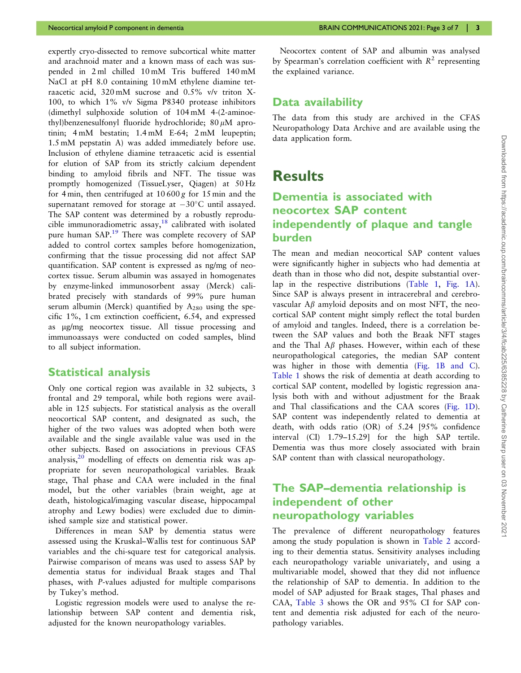<span id="page-2-0"></span>expertly cryo-dissected to remove subcortical white matter and arachnoid mater and a known mass of each was suspended in 2 ml chilled 10 mM Tris buffered 140 mM NaCl at pH 8.0 containing 10 mM ethylene diamine tetraacetic acid, 320 mM sucrose and 0.5% v/v triton X-100, to which 1% v/v Sigma P8340 protease inhibitors (dimethyl sulphoxide solution of 104 mM 4-(2-aminoethyl)benzenesulfonyl fluoride hydrochloride;  $80 \mu M$  aprotinin; 4 mM bestatin; 1.4 mM E-64; 2 mM leupeptin; 1.5 mM pepstatin A) was added immediately before use. Inclusion of ethylene diamine tetraacetic acid is essential for elution of SAP from its strictly calcium dependent binding to amyloid fibrils and NFT. The tissue was promptly homogenized (TissueLyser, Qiagen) at 50 Hz for 4 min, then centrifuged at  $10600 g$  for 15 min and the supernatant removed for storage at  $-30^{\circ}$ C until assayed. The SAP content was determined by a robustly reprodu-cible immunoradiometric assay,<sup>[18](#page-6-0)</sup> calibrated with isolated pure human SAP.<sup>19</sup> There was complete recovery of SAP added to control cortex samples before homogenization, confirming that the tissue processing did not affect SAP quantification. SAP content is expressed as ng/mg of neocortex tissue. Serum albumin was assayed in homogenates by enzyme-linked immunosorbent assay (Merck) calibrated precisely with standards of 99% pure human serum albumin (Merck) quantified by  $A_{280}$  using the specific 1%, 1 cm extinction coefficient, 6.54, and expressed as mg/mg neocortex tissue. All tissue processing and immunoassays were conducted on coded samples, blind to all subject information.

#### Statistical analysis

Only one cortical region was available in 32 subjects, 3 frontal and 29 temporal, while both regions were available in 125 subjects. For statistical analysis as the overall neocortical SAP content, and designated as such, the higher of the two values was adopted when both were available and the single available value was used in the other subjects. Based on associations in previous CFAS analysis, $2^0$  modelling of effects on dementia risk was appropriate for seven neuropathological variables. Braak stage, Thal phase and CAA were included in the final model, but the other variables (brain weight, age at death, histological/imaging vascular disease, hippocampal atrophy and Lewy bodies) were excluded due to diminished sample size and statistical power.

Differences in mean SAP by dementia status were assessed using the Kruskal–Wallis test for continuous SAP variables and the chi-square test for categorical analysis. Pairwise comparison of means was used to assess SAP by dementia status for individual Braak stages and Thal phases, with P-values adjusted for multiple comparisons by Tukey's method.

Logistic regression models were used to analyse the relationship between SAP content and dementia risk, adjusted for the known neuropathology variables.

Neocortex content of SAP and albumin was analysed by Spearman's correlation coefficient with  $R^2$  representing the explained variance.

#### Data availability

The data from this study are archived in the CFAS Neuropathology Data Archive and are available using the data application form.

### **Results**

#### Dementia is associated with neocortex SAP content independently of plaque and tangle burden

The mean and median neocortical SAP content values were significantly higher in subjects who had dementia at death than in those who did not, despite substantial overlap in the respective distributions ([Table 1,](#page-3-0) [Fig. 1A\)](#page-4-0). Since SAP is always present in intracerebral and cerebrovascular  $A\beta$  amyloid deposits and on most NFT, the neocortical SAP content might simply reflect the total burden of amyloid and tangles. Indeed, there is a correlation between the SAP values and both the Braak NFT stages and the Thal  $\Lambda\beta$  phases. However, within each of these neuropathological categories, the median SAP content was higher in those with dementia [\(Fig. 1B and C\)](#page-4-0). [Table 1](#page-3-0) shows the risk of dementia at death according to cortical SAP content, modelled by logistic regression analysis both with and without adjustment for the Braak and Thal classifications and the CAA scores [\(Fig. 1D\)](#page-4-0). SAP content was independently related to dementia at death, with odds ratio (OR) of 5.24 [95% confidence interval (CI) 1.79–15.29] for the high SAP tertile. Dementia was thus more closely associated with brain SAP content than with classical neuropathology.

#### The SAP–dementia relationship is independent of other neuropathology variables

The prevalence of different neuropathology features among the study population is shown in [Table 2](#page-5-0) according to their dementia status. Sensitivity analyses including each neuropathology variable univariately, and using a multivariable model, showed that they did not influence the relationship of SAP to dementia. In addition to the model of SAP adjusted for Braak stages, Thal phases and CAA, [Table 3](#page-5-0) shows the OR and 95% CI for SAP content and dementia risk adjusted for each of the neuropathology variables.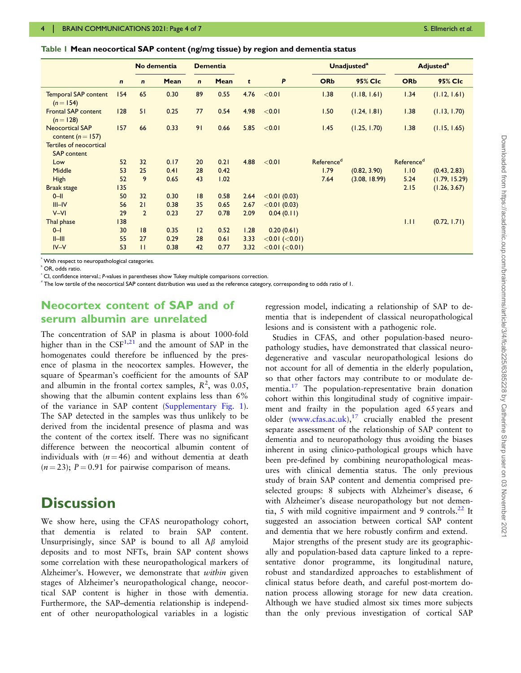<span id="page-3-0"></span>Table 1 Mean neocortical SAP content (ng/mg tissue) by region and dementia status

|                                                 |             | No dementia    |      | <b>Dementia</b> |      |      |                      |                        | <b>Unadjusted<sup>a</sup></b> | <b>Adjusted</b> <sup>a</sup> |               |
|-------------------------------------------------|-------------|----------------|------|-----------------|------|------|----------------------|------------------------|-------------------------------|------------------------------|---------------|
|                                                 | $\mathbf n$ | $\mathbf n$    | Mean | $\mathbf{n}$    | Mean | t    | P                    | <b>ORb</b>             | 95% CIc                       | <b>ORb</b>                   | 95% Clc       |
| <b>Temporal SAP content</b><br>$(n = 154)$      | 154         | 65             | 0.30 | 89              | 0.55 | 4.76 | < 0.01               | 1.38                   | (1.18, 1.61)                  | 1.34                         | (1.12, 1.61)  |
| <b>Frontal SAP content</b><br>$(n=128)$         | 128         | 51             | 0.25 | 77              | 0.54 | 4.98 | < 0.01               | 1.50                   | (1.24, 1.81)                  | 1.38                         | (1.13, 1.70)  |
| <b>Neocortical SAP</b><br>content ( $n = 157$ ) | 157         | 66             | 0.33 | 91              | 0.66 | 5.85 | < 0.01               | 1.45                   | (1.25, 1.70)                  | 1.38                         | (1.15, 1.65)  |
| Tertiles of neocortical<br><b>SAP</b> content   |             |                |      |                 |      |      |                      |                        |                               |                              |               |
| Low                                             | 52          | 32             | 0.17 | 20              | 0.21 | 4.88 | < 0.01               | Reference <sup>d</sup> |                               | Referenced                   |               |
| Middle                                          | 53          | 25             | 0.41 | 28              | 0.42 |      |                      | 1.79                   | (0.82, 3.90)                  | 1.10                         | (0.43, 2.83)  |
| High                                            | 52          | 9              | 0.65 | 43              | 1.02 |      |                      | 7.64                   | (3.08, 18.99)                 | 5.24                         | (1.79, 15.29) |
| <b>Braak stage</b>                              | 135         |                |      |                 |      |      |                      |                        |                               | 2.15                         | (1.26, 3.67)  |
| $0$ -II                                         | 50          | 32             | 0.30 | 8               | 0.58 | 2.64 | $<$ 0.01 (0.03)      |                        |                               |                              |               |
| $III$ -IV                                       | 56          | 21             | 0.38 | 35              | 0.65 | 2.67 | $<$ 0.01 (0.03)      |                        |                               |                              |               |
| $V - VI$                                        | 29          | $\overline{2}$ | 0.23 | 27              | 0.78 | 2.09 | 0.04(0.11)           |                        |                               |                              |               |
| Thal phase                                      | 138         |                |      |                 |      |      |                      |                        |                               | 1.11                         | (0.72, 1.71)  |
| $0 - 1$                                         | 30          | 8              | 0.35 | 12              | 0.52 | 1.28 | 0.20(0.61)           |                        |                               |                              |               |
| $II$ -III                                       | 55          | 27             | 0.29 | 28              | 0.61 | 3.33 | $<$ 0.01 ( $<$ 0.01) |                        |                               |                              |               |
| $IV - V$                                        | 53          | $\mathbf{H}$   | 0.38 | 42              | 0.77 | 3.32 | $<$ 0.01 ( $<$ 0.01) |                        |                               |                              |               |

a With respect to neuropathological categories.

b OR, odds ratio.

 $\epsilon$  CI, confidence interval.; P-values in parentheses show Tukey multiple comparisons correction.

The low tertile of the neocortical SAP content distribution was used as the reference category, corresponding to odds ratio of 1.

#### Neocortex content of SAP and of serum albumin are unrelated

The concentration of SAP in plasma is about 1000-fold higher than in the  $CSF<sup>1,21</sup>$  $CSF<sup>1,21</sup>$  $CSF<sup>1,21</sup>$  and the amount of SAP in the homogenates could therefore be influenced by the presence of plasma in the neocortex samples. However, the square of Spearman's coefficient for the amounts of SAP and albumin in the frontal cortex samples,  $R^2$ , was 0.05, showing that the albumin content explains less than 6% of the variance in SAP content [\(Supplementary Fig. 1](https://academic.oup.com/braincomms/article-lookup/doi/10.1093/braincomms/fcab225#supplementary-data)). The SAP detected in the samples was thus unlikely to be derived from the incidental presence of plasma and was the content of the cortex itself. There was no significant difference between the neocortical albumin content of individuals with  $(n = 46)$  and without dementia at death  $(n = 23)$ ; P = 0.91 for pairwise comparison of means.

## **Discussion**

We show here, using the CFAS neuropathology cohort, that dementia is related to brain SAP content. Unsurprisingly, since SAP is bound to all  $A\beta$  amyloid deposits and to most NFTs, brain SAP content shows some correlation with these neuropathological markers of Alzheimer's. However, we demonstrate that within given stages of Alzheimer's neuropathological change, neocortical SAP content is higher in those with dementia. Furthermore, the SAP–dementia relationship is independent of other neuropathological variables in a logistic

regression model, indicating a relationship of SAP to dementia that is independent of classical neuropathological lesions and is consistent with a pathogenic role.

Studies in CFAS, and other population-based neuropathology studies, have demonstrated that classical neurodegenerative and vascular neuropathological lesions do not account for all of dementia in the elderly population, so that other factors may contribute to or modulate de-mentia.<sup>[17](#page-6-0)</sup> The population-representative brain donation cohort within this longitudinal study of cognitive impairment and frailty in the population aged 65 years and older ([www.cfas.ac.uk\)](http://www.cfas.ac.uk), $17$  crucially enabled the present separate assessment of the relationship of SAP content to dementia and to neuropathology thus avoiding the biases inherent in using clinico-pathological groups which have been pre-defined by combining neuropathological measures with clinical dementia status. The only previous study of brain SAP content and dementia comprised preselected groups: 8 subjects with Alzheimer's disease, 6 with Alzheimer's disease neuropathology but not dementia, 5 with mild cognitive impairment and 9 controls. $^{22}$  $^{22}$  $^{22}$  It suggested an association between cortical SAP content and dementia that we here robustly confirm and extend.

Major strengths of the present study are its geographically and population-based data capture linked to a representative donor programme, its longitudinal nature, robust and standardized approaches to establishment of clinical status before death, and careful post-mortem donation process allowing storage for new data creation. Although we have studied almost six times more subjects than the only previous investigation of cortical SAP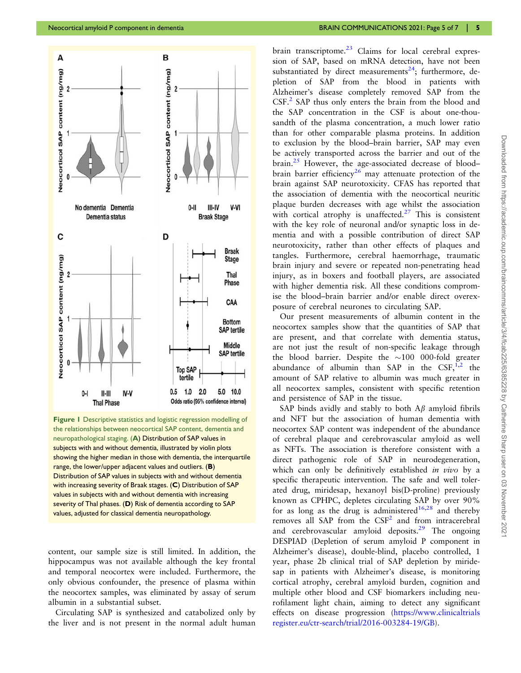<span id="page-4-0"></span>



Figure 1 Descriptive statistics and logistic regression modelling of the relationships between neocortical SAP content, dementia and neuropathological staging. (A) Distribution of SAP values in subjects with and without dementia, illustrated by violin plots showing the higher median in those with dementia, the interquartile range, the lower/upper adjacent values and outliers.  $(B)$ Distribution of SAP values in subjects with and without dementia with increasing severity of Braak stages. (C) Distribution of SAP values in subjects with and without dementia with increasing severity of Thal phases. (D) Risk of dementia according to SAP values, adjusted for classical dementia neuropathology.

content, our sample size is still limited. In addition, the hippocampus was not available although the key frontal and temporal neocortex were included. Furthermore, the only obvious confounder, the presence of plasma within the neocortex samples, was eliminated by assay of serum albumin in a substantial subset.

Circulating SAP is synthesized and catabolized only by the liver and is not present in the normal adult human brain transcriptome. $^{23}$  $^{23}$  $^{23}$  Claims for local cerebral expression of SAP, based on mRNA detection, have not been substantiated by direct measurements<sup>24</sup>; furthermore, depletion of SAP from the blood in patients with Alzheimer's disease completely removed SAP from the CSF[.2](#page-6-0) SAP thus only enters the brain from the blood and the SAP concentration in the CSF is about one-thousandth of the plasma concentration, a much lower ratio than for other comparable plasma proteins. In addition to exclusion by the blood–brain barrier, SAP may even be actively transported across the barrier and out of the  $brain.<sup>25</sup>$  $brain.<sup>25</sup>$  $brain.<sup>25</sup>$  However, the age-associated decrease of blood– brain barrier efficiency<sup>[26](#page-6-0)</sup> may attenuate protection of the brain against SAP neurotoxicity. CFAS has reported that the association of dementia with the neocortical neuritic plaque burden decreases with age whilst the association with cortical atrophy is unaffected. $27$  This is consistent with the key role of neuronal and/or synaptic loss in dementia and with a possible contribution of direct SAP neurotoxicity, rather than other effects of plaques and tangles. Furthermore, cerebral haemorrhage, traumatic brain injury and severe or repeated non-penetrating head injury, as in boxers and football players, are associated with higher dementia risk. All these conditions compromise the blood–brain barrier and/or enable direct overexposure of cerebral neurones to circulating SAP.

Our present measurements of albumin content in the neocortex samples show that the quantities of SAP that are present, and that correlate with dementia status, are not just the result of non-specific leakage through the blood barrier. Despite the  $\sim$ 100 000-fold greater abundance of albumin than SAP in the  $CSF<sub>1</sub><sup>1,2</sup>$  $CSF<sub>1</sub><sup>1,2</sup>$  $CSF<sub>1</sub><sup>1,2</sup>$  the amount of SAP relative to albumin was much greater in all neocortex samples, consistent with specific retention and persistence of SAP in the tissue.

SAP binds avidly and stably to both  $A\beta$  amyloid fibrils and NFT but the association of human dementia with neocortex SAP content was independent of the abundance of cerebral plaque and cerebrovascular amyloid as well as NFTs. The association is therefore consistent with a direct pathogenic role of SAP in neurodegeneration, which can only be definitively established *in vivo* by a specific therapeutic intervention. The safe and well tolerated drug, miridesap, hexanoyl bis(D-proline) previously known as CPHPC, depletes circulating SAP by over 90% for as long as the drug is administered<sup>[16,28](#page-6-0)</sup> and thereby removes all SAP from the  $CSF<sup>2</sup>$  $CSF<sup>2</sup>$  $CSF<sup>2</sup>$  and from intracerebral and cerebrovascular amyloid deposits.<sup>[29](#page-6-0)</sup> The ongoing DESPIAD (Depletion of serum amyloid P component in Alzheimer's disease), double-blind, placebo controlled, 1 year, phase 2b clinical trial of SAP depletion by miridesap in patients with Alzheimer's disease, is monitoring cortical atrophy, cerebral amyloid burden, cognition and multiple other blood and CSF biomarkers including neurofilament light chain, aiming to detect any significant effects on disease progression ([https://www.clinicaltrials](https://www.clinicaltrialsregister.eu/ctr-search/trial/2016-003284-19/GB) [register.eu/ctr-search/trial/2016-003284-19/GB](https://www.clinicaltrialsregister.eu/ctr-search/trial/2016-003284-19/GB)).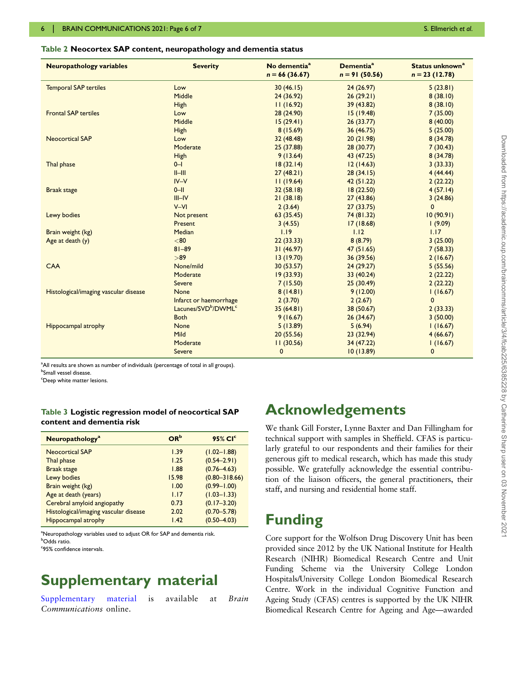#### <span id="page-5-0"></span>Table 2 Neocortex SAP content, neuropathology and dementia status

| <b>Neuropathology variables</b>       | <b>Severity</b>                             | No dementia <sup>a</sup><br>$n = 66(36.67)$ | <b>Dementia<sup>ª</sup></b><br>$n = 91(50.56)$ | Status unknown <sup>a</sup><br>$n = 23(12.78)$ |
|---------------------------------------|---------------------------------------------|---------------------------------------------|------------------------------------------------|------------------------------------------------|
| <b>Temporal SAP tertiles</b>          | Low                                         | 30(46.15)                                   | 24(26.97)                                      | 5(23.81)                                       |
|                                       | Middle                                      | 24 (36.92)                                  | 26(29.21)                                      | 8(38.10)                                       |
|                                       | High                                        | 11(16.92)                                   | 39 (43.82)                                     | 8(38.10)                                       |
| <b>Frontal SAP tertiles</b>           | Low                                         | 28 (24.90)                                  | 15(19.48)                                      | 7(35.00)                                       |
|                                       | Middle                                      | 15(29.41)                                   | 26(33.77)                                      | 8(40.00)                                       |
|                                       | High                                        | 8(15.69)                                    | 36 (46.75)                                     | 5(25.00)                                       |
| <b>Neocortical SAP</b>                | Low                                         | 32(48.48)                                   | 20(21.98)                                      | 8 (34.78)                                      |
|                                       | Moderate                                    | 25 (37.88)                                  | 28 (30.77)                                     | 7(30.43)                                       |
|                                       | High                                        | 9(13.64)                                    | 43 (47.25)                                     | 8 (34.78)                                      |
| Thal phase                            | $0 - 1$                                     | 18(32.14)                                   | 12(14.63)                                      | 3(33.33)                                       |
|                                       | $II$ -III                                   | 27(48.21)                                   | 28(34.15)                                      | 4(44.44)                                       |
|                                       | $IV - V$                                    | 11(19.64)                                   | 42(51.22)                                      | 2(22.22)                                       |
| <b>Braak stage</b>                    | $0$ -II                                     | 32 (58.18)                                  | 18 (22.50)                                     | 4(57.14)                                       |
|                                       | $III$ -IV                                   | 21(38.18)                                   | 27 (43.86)                                     | 3(24.86)                                       |
|                                       | $V - VI$                                    | 2(3.64)                                     | 27(33.75)                                      | $\mathbf 0$                                    |
| Lewy bodies                           | Not present                                 | 63 (35.45)                                  | 74 (81.32)                                     | 10(90.91)                                      |
|                                       | Present                                     | 3(4.55)                                     | 17 (18.68)                                     | (9.09)                                         |
| Brain weight (kg)                     | Median                                      | 1.19                                        | 1.12                                           | 1.17                                           |
| Age at death (y)                      | < 80                                        | 22(33.33)                                   | 8(8.79)                                        | 3(25.00)                                       |
|                                       | $81 - 89$                                   | 31(46.97)                                   | 47(51.65)                                      | 7(58.33)                                       |
|                                       | >89                                         | 13(19.70)                                   | 36 (39.56)                                     | 2(16.67)                                       |
| CAA                                   | None/mild                                   | 30(53.57)                                   | 24(29.27)                                      | 5(55.56)                                       |
|                                       | Moderate                                    | 19(33.93)                                   | 33 (40.24)                                     | 2(22.22)                                       |
|                                       | Severe                                      | 7(15.50)                                    | 25 (30.49)                                     | 2(22.22)                                       |
| Histological/imaging vascular disease | None                                        | 8(14.81)                                    | 9(12.00)                                       | 1(16.67)                                       |
|                                       | Infarct or haemorrhage                      | 2(3.70)                                     | 2(2.67)                                        | $\mathbf{0}$                                   |
|                                       | Lacunes/SVD <sup>b</sup> /DWML <sup>c</sup> | 35(64.81)                                   | 38 (50.67)                                     | 2(33.33)                                       |
|                                       | <b>Both</b>                                 | 9(16.67)                                    | 26(34.67)                                      | 3(50.00)                                       |
| <b>Hippocampal atrophy</b>            | None                                        | 5(13.89)                                    | 5(6.94)                                        | 1(16.67)                                       |
|                                       | Mild                                        | 20(55.56)                                   | 23 (32.94)                                     | 4(66.67)                                       |
|                                       | Moderate                                    | 11(30.56)                                   | 34 (47.22)                                     | 1(16.67)                                       |
|                                       | <b>Severe</b>                               | $\mathbf{0}$                                | 10(13.89)                                      | $\mathbf 0$                                    |

<sup>a</sup>All results are shown as number of individuals (percentage of total in all groups).

<sup>b</sup>Small vessel disease.

<sup>c</sup>Deep white matter lesions.

#### Table 3 Logistic regression model of neocortical SAP content and dementia risk

| Neuropathology <sup>a</sup>           | OR <sup>b</sup> | 95% CI <sup>c</sup> |
|---------------------------------------|-----------------|---------------------|
| <b>Neocortical SAP</b>                | 1.39            | $(1.02 - 1.88)$     |
| Thal phase                            | 1.25            | $(0.54 - 2.91)$     |
| <b>Braak stage</b>                    | 1.88            | $(0.76 - 4.63)$     |
| Lewy bodies                           | 15.98           | $(0.80 - 318.66)$   |
| Brain weight (kg)                     | 1.00            | $(0.99 - 1.00)$     |
| Age at death (years)                  | 1.17            | $(1.03 - 1.33)$     |
| Cerebral amyloid angiopathy           | 0.73            | $(0.17 - 3.20)$     |
| Histological/imaging vascular disease | 2.02            | $(0.70 - 5.78)$     |
| <b>Hippocampal atrophy</b>            | 1.42            | $(0.50 - 4.03)$     |

<sup>a</sup>Neuropathology variables used to adjust OR for SAP and dementia risk. <sup>b</sup>Odds ratio.

c 95% confidence intervals.

## Supplementary material

[Supplementary material](https://academic.oup.com/braincomms/article-lookup/doi/10.1093/braincomms/fcab225#supplementary-data) is available at Brain Communications online.

## Acknowledgements

We thank Gill Forster, Lynne Baxter and Dan Fillingham for technical support with samples in Sheffield. CFAS is particularly grateful to our respondents and their families for their generous gift to medical research, which has made this study possible. We gratefully acknowledge the essential contribution of the liaison officers, the general practitioners, their staff, and nursing and residential home staff.

## Funding

Core support for the Wolfson Drug Discovery Unit has been provided since 2012 by the UK National Institute for Health Research (NIHR) Biomedical Research Centre and Unit Funding Scheme via the University College London Hospitals/University College London Biomedical Research Centre. Work in the individual Cognitive Function and Ageing Study (CFAS) centres is supported by the UK NIHR Biomedical Research Centre for Ageing and Age—awarded